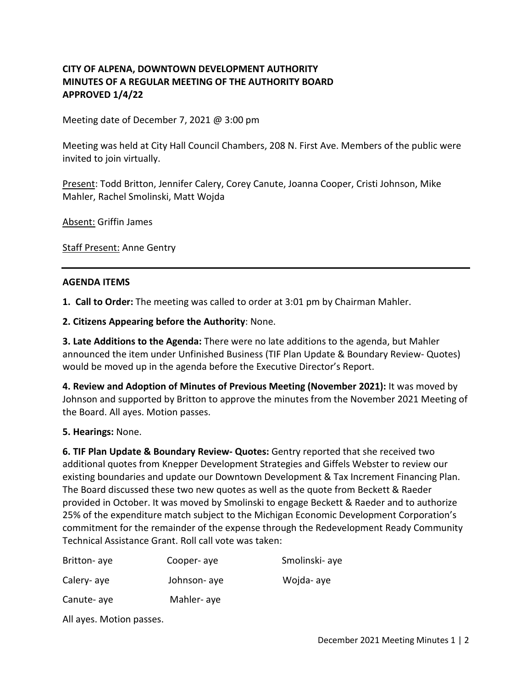# **CITY OF ALPENA, DOWNTOWN DEVELOPMENT AUTHORITY MINUTES OF A REGULAR MEETING OF THE AUTHORITY BOARD APPROVED 1/4/22**

Meeting date of December 7, 2021 @ 3:00 pm

Meeting was held at City Hall Council Chambers, 208 N. First Ave. Members of the public were invited to join virtually.

Present: Todd Britton, Jennifer Calery, Corey Canute, Joanna Cooper, Cristi Johnson, Mike Mahler, Rachel Smolinski, Matt Wojda

Absent: Griffin James

**Staff Present: Anne Gentry** 

#### **AGENDA ITEMS**

**1. Call to Order:** The meeting was called to order at 3:01 pm by Chairman Mahler.

**2. Citizens Appearing before the Authority**: None.

**3. Late Additions to the Agenda:** There were no late additions to the agenda, but Mahler announced the item under Unfinished Business (TIF Plan Update & Boundary Review- Quotes) would be moved up in the agenda before the Executive Director's Report.

**4. Review and Adoption of Minutes of Previous Meeting (November 2021):** It was moved by Johnson and supported by Britton to approve the minutes from the November 2021 Meeting of the Board. All ayes. Motion passes.

**5. Hearings:** None.

**6. TIF Plan Update & Boundary Review- Quotes:** Gentry reported that she received two additional quotes from Knepper Development Strategies and Giffels Webster to review our existing boundaries and update our Downtown Development & Tax Increment Financing Plan. The Board discussed these two new quotes as well as the quote from Beckett & Raeder provided in October. It was moved by Smolinski to engage Beckett & Raeder and to authorize 25% of the expenditure match subject to the Michigan Economic Development Corporation's commitment for the remainder of the expense through the Redevelopment Ready Community Technical Assistance Grant. Roll call vote was taken:

| Britton-aye | Cooper-aye   | Smolinski- aye |
|-------------|--------------|----------------|
| Calery-aye  | Johnson- aye | Wojda- aye     |
| Canute-aye  | Mahler-aye   |                |

All ayes. Motion passes.